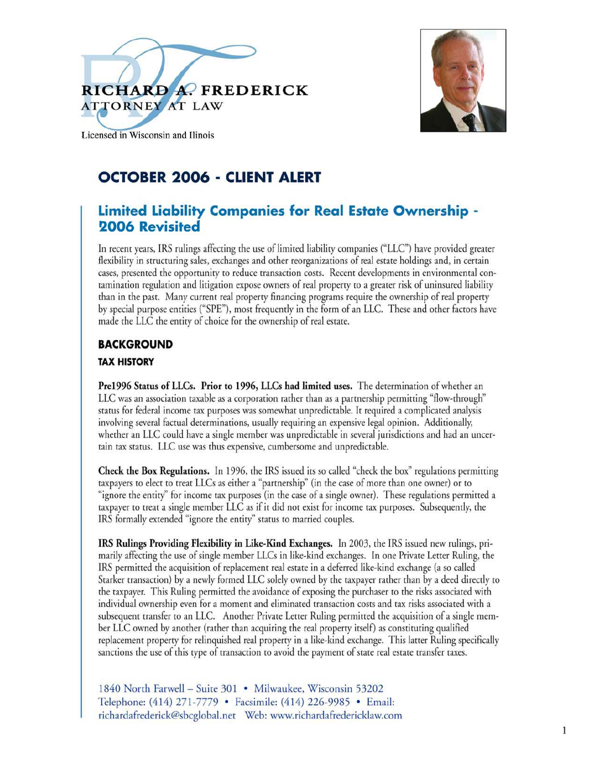



Licensed in Wisconsin and Ilinois

# OCTOBER 2006 - CLIENT ALERT

## **Limited Liability Companies for Real Estate Ownership -2006 Revisited**

In recent years, IRS rulings affecting the use of limited liability companies ("LLC") have provided greater flexibility in structuring sales, exchanges and other reorganizations of real estate holdings and, in certain cases, presented the opportunity to reduce transaction costs. Recent developments in environmental contamination regulation and litigation expose owners of real property to a greater risk of uninsured liability than in the past. Many current real property financing programs require the ownership of real property by special purpose entities ("SPE"), most frequently in the form of an LLC. These and other factors have made the LLC the entity of choice for the ownership of real estate.

## **BACKGROUND**

#### **TAX HISTORY**

Pre1996 Status of LLCs. Prior to 1996, LLCs had limited uses. The determination of whether an LLC was an association taxable as a corporation rather than as a partnership permitting "flow-through" status for federal income tax purposes was somewhat unpredictable. It required a complicated analysis involving several factual determinations, usually requiring an expensive legal opinion. Additionally, whether an LLC could have a single member was unpredictable in several jurisdictions and had an uncertain tax status. LLC use was thus expensive, cumbersome and unpredictable.

**Check the Box Regulations.** In 1996, the IRS issued its so called "check the box" regulations permitting taxpayers to elect to treat LLCs as either a "partnership" (in the case of more than one owner) or to "ignore the entity" for income tax purposes (in the case of a single owner). These regulations permitted a taxpayer to treat a single member LLC as if it did not exist for income tax purposes. Subsequently, the IRS formally extended "ignore the entity" status to married couples.

IRS Rulings Providing Flexibility in Like-Kind Exchanges. In 2003, the IRS issued new rulings, primarily affecting the use of single member LLCs in like-kind exchanges. In one Private Letter Ruling, the IRS permitted the acquisition of replacement real estate in a deferred like-kind exchange (a so called Starker transaction) by a newly formed LLC solely owned by the taxpayer rather than by a deed directly to the taxpayer. This Ruling permitted the avoidance of exposing the purchaser to the risks associated with individual ownership even for a moment and eliminated transaction costs and tax risks associated with a subsequent transfer to an LLC. Another Private Letter Ruling permitted the acquisition of a single member LLC owned by another (rather than acquiring the real property itself) as constituting qualified replacement property for relinquished real property in a like-kind exchange. This latter Ruling specifically sanctions the use of this type of transaction to avoid the payment of state real estate transfer taxes.

1840 North Farwell - Suite 301 · Milwaukee, Wisconsin 53202 Telephone: (414) 271-7779 • Facsimile: (414) 226-9985 • Email: richardafrederick@sbcglobal.net Web: www.richardafredericklaw.com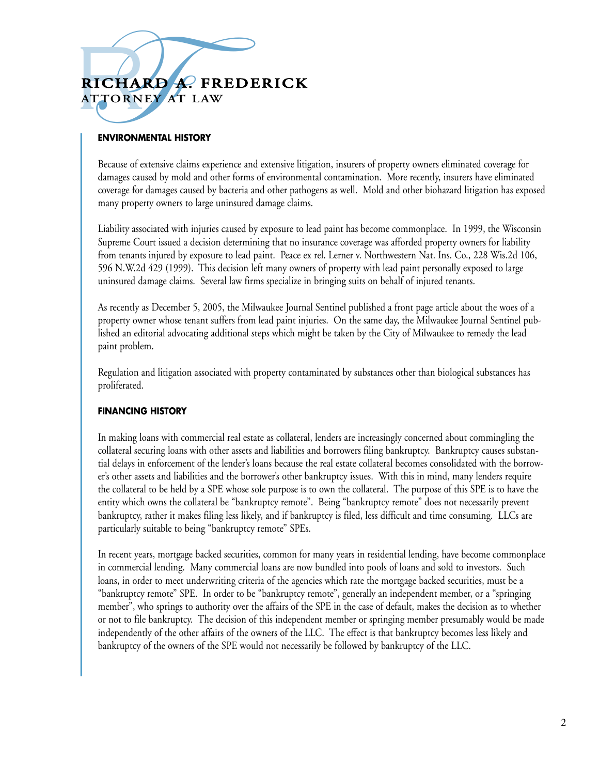# **RICHARD A. FREDERICK SICHARD A. FREDERICK**<br>TTORNEY AT LAW **ATTO R N EY AT LAW**

### **ENVIRONMENTAL HISTORY**

Because of extensive claims experience and extensive litigation, insurers of property owners eliminated coverage for damages caused by mold and other forms of environmental contamination. More recently, insurers have eliminated coverage for damages caused by bacteria and other pathogens as well. Mold and other biohazard litigation has exposed many property owners to large uninsured damage claims.

Liability associated with injuries caused by exposure to lead paint has become commonplace. In 1999, the Wisconsin Supreme Court issued a decision determining that no insurance coverage was afforded property owners for liability from tenants injured by exposure to lead paint. Peace ex rel. Lerner v. Northwestern Nat. Ins. Co., 228 Wis.2d 106, 596 N.W.2d 429 (1999). This decision left many owners of property with lead paint personally exposed to large uninsured damage claims. Several law firms specialize in bringing suits on behalf of injured tenants.

As recently as December 5, 2005, the Milwaukee Journal Sentinel published a front page article about the woes of a property owner whose tenant suffers from lead paint injuries. On the same day, the Milwaukee Journal Sentinel published an editorial advocating additional steps which might be taken by the City of Milwaukee to remedy the lead paint problem.

Regulation and litigation associated with property contaminated by substances other than biological substances has proliferated.

#### **FINANCING HISTORY**

In making loans with commercial real estate as collateral, lenders are increasingly concerned about commingling the collateral securing loans with other assets and liabilities and borrowers filing bankruptcy. Bankruptcy causes substantial delays in enforcement of the lender's loans because the real estate collateral becomes consolidated with the borrower's other assets and liabilities and the borrower's other bankruptcy issues. With this in mind, many lenders require the collateral to be held by a SPE whose sole purpose is to own the collateral. The purpose of this SPE is to have the entity which owns the collateral be "bankruptcy remote". Being "bankruptcy remote" does not necessarily prevent bankruptcy, rather it makes filing less likely, and if bankruptcy is filed, less difficult and time consuming. LLCs are particularly suitable to being "bankruptcy remote" SPEs.

In recent years, mortgage backed securities, common for many years in residential lending, have become commonplace in commercial lending. Many commercial loans are now bundled into pools of loans and sold to investors. Such loans, in order to meet underwriting criteria of the agencies which rate the mortgage backed securities, must be a "bankruptcy remote" SPE. In order to be "bankruptcy remote", generally an independent member, or a "springing member", who springs to authority over the affairs of the SPE in the case of default, makes the decision as to whether or not to file bankruptcy. The decision of this independent member or springing member presumably would be made independently of the other affairs of the owners of the LLC. The effect is that bankruptcy becomes less likely and bankruptcy of the owners of the SPE would not necessarily be followed by bankruptcy of the LLC.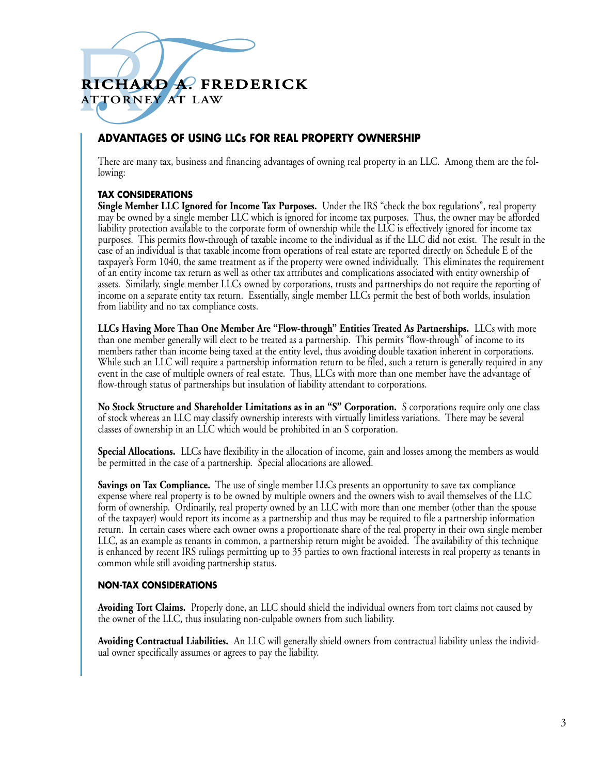# **RICHARD A. FREDERICK SICHARD A. FREDERICK**<br>TTORNEY AT LAW<br>ADVANTAGES OF USING LLCS FOR REAL P **ATTO R N EY AT LAW**

### **ADVANTAGES OF USING LLCs FOR REAL PROPERTY OWNERSHIP**

There are many tax, business and financing advantages of owning real property in an LLC. Among them are the following:

#### **TAX CONSIDERATIONS**

**Single Member LLC Ignored for Income Tax Purposes.** Under the IRS "check the box regulations", real property may be owned by a single member LLC which is ignored for income tax purposes. Thus, the owner may be afforded liability protection available to the corporate form of ownership while the LLC is effectively ignored for income tax purposes. This permits flow-through of taxable income to the individual as if the LLC did not exist. The result in the case of an individual is that taxable income from operations of real estate are reported directly on Schedule E of the taxpayer's Form 1040, the same treatment as if the property were owned individually. This eliminates the requirement of an entity income tax return as well as other tax attributes and complications associated with entity ownership of assets. Similarly, single member LLCs owned by corporations, trusts and partnerships do not require the reporting of income on a separate entity tax return. Essentially, single member LLCs permit the best of both worlds, insulation from liability and no tax compliance costs.

**LLCs Having More Than One Member Are "Flow-through" Entities Treated As Partnerships.** LLCs with more than one member generally will elect to be treated as a partnership. This permits "flow-through" of income to its members rather than income being taxed at the entity level, thus avoiding double taxation inherent in corporations. While such an LLC will require a partnership information return to be filed, such a return is generally required in any event in the case of multiple owners of real estate. Thus, LLCs with more than one member have the advantage of flow-through status of partnerships but insulation of liability attendant to corporations.

**No Stock Structure and Shareholder Limitations as in an "S" Corporation.** S corporations require only one class of stock whereas an LLC may classify ownership interests with virtually limitless variations. There may be several classes of ownership in an LLC which would be prohibited in an S corporation.

**Special Allocations.** LLCs have flexibility in the allocation of income, gain and losses among the members as would be permitted in the case of a partnership. Special allocations are allowed.

**Savings on Tax Compliance.** The use of single member LLCs presents an opportunity to save tax compliance expense where real property is to be owned by multiple owners and the owners wish to avail themselves of the LLC form of ownership. Ordinarily, real property owned by an LLC with more than one member (other than the spouse of the taxpayer) would report its income as a partnership and thus may be required to file a partnership information return. In certain cases where each owner owns a proportionate share of the real property in their own single member LLC, as an example as tenants in common, a partnership return might be avoided. The availability of this technique is enhanced by recent IRS rulings permitting up to 35 parties to own fractional interests in real property as tenants in common while still avoiding partnership status.

#### **NON-TAX CONSIDERATIONS**

**Avoiding Tort Claims.** Properly done, an LLC should shield the individual owners from tort claims not caused by the owner of the LLC, thus insulating non-culpable owners from such liability.

**Avoiding Contractual Liabilities.** An LLC will generally shield owners from contractual liability unless the individual owner specifically assumes or agrees to pay the liability.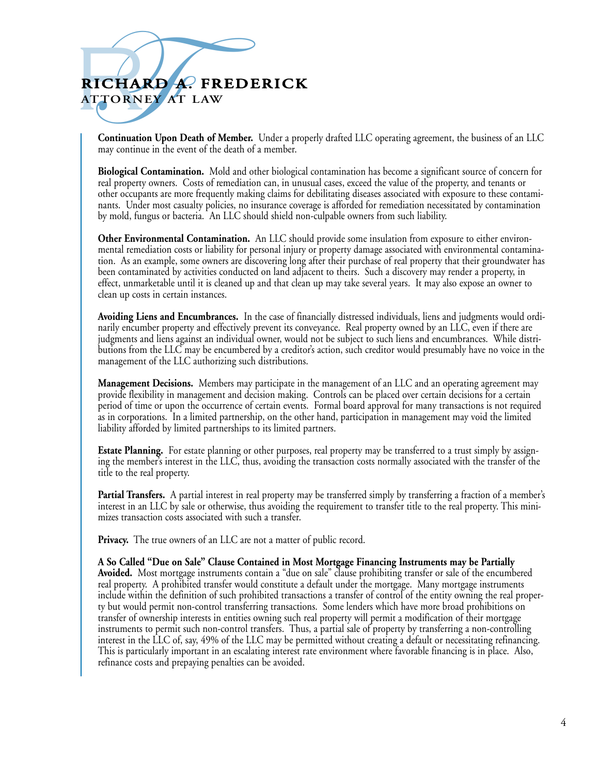# **RICHARD A. FREDERICK SICHARD A. FREDERICK**<br>TTORNEY AT LAW<br>Continuation Upon Death of Member. Under a prop<br>may continue in the event of the death of a member. **ATTO R N EY AT LAW**

**Continuation Upon Death of Member.** Under a properly drafted LLC operating agreement, the business of an LLC may continue in the event of the death of a member.

**Biological Contamination.** Mold and other biological contamination has become a significant source of concern for real property owners. Costs of remediation can, in unusual cases, exceed the value of the property, and tenants or other occupants are more frequently making claims for debilitating diseases associated with exposure to these contaminants. Under most casualty policies, no insurance coverage is afforded for remediation necessitated by contamination by mold, fungus or bacteria. An LLC should shield non-culpable owners from such liability.

**Other Environmental Contamination.** An LLC should provide some insulation from exposure to either environmental remediation costs or liability for personal injury or property damage associated with environmental contamination. As an example, some owners are discovering long after their purchase of real property that their groundwater has been contaminated by activities conducted on land adjacent to theirs. Such a discovery may render a property, in effect, unmarketable until it is cleaned up and that clean up may take several years. It may also expose an owner to clean up costs in certain instances.

**Avoiding Liens and Encumbrances.** In the case of financially distressed individuals, liens and judgments would ordinarily encumber property and effectively prevent its conveyance. Real property owned by an LLC, even if there are judgments and liens against an individual owner, would not be subject to such liens and encumbrances. While distributions from the LLC may be encumbered by a creditor's action, such creditor would presumably have no voice in the management of the LLC authorizing such distributions.

**Management Decisions.** Members may participate in the management of an LLC and an operating agreement may provide flexibility in management and decision making. Controls can be placed over certain decisions for a certain period of time or upon the occurrence of certain events. Formal board approval for many transactions is not required as in corporations. In a limited partnership, on the other hand, participation in management may void the limited liability afforded by limited partnerships to its limited partners.

**Estate Planning.** For estate planning or other purposes, real property may be transferred to a trust simply by assigning the member's interest in the LLC, thus, avoiding the transaction costs normally associated with the transfer of the title to the real property.

**Partial Transfers.** A partial interest in real property may be transferred simply by transferring a fraction of a member's interest in an LLC by sale or otherwise, thus avoiding the requirement to transfer title to the real property. This minimizes transaction costs associated with such a transfer.

**Privacy.** The true owners of an LLC are not a matter of public record.

**A So Called "Due on Sale" Clause Contained in Most Mortgage Financing Instruments may be Partially Avoided.** Most mortgage instruments contain a "due on sale" clause prohibiting transfer or sale of the encumbered real property. A prohibited transfer would constitute a default under the mortgage. Many mortgage instruments include within the definition of such prohibited transactions a transfer of control of the entity owning the real property but would permit non-control transferring transactions. Some lenders which have more broad prohibitions on transfer of ownership interests in entities owning such real property will permit a modification of their mortgage instruments to permit such non-control transfers. Thus, a partial sale of property by transferring a non-controlling interest in the LLC of, say, 49% of the LLC may be permitted without creating a default or necessitating refinancing. This is particularly important in an escalating interest rate environment where favorable financing is in place. Also, refinance costs and prepaying penalties can be avoided.